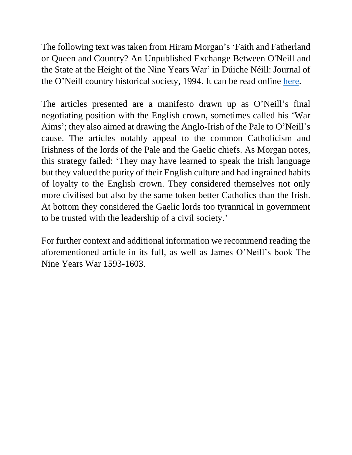The following text was taken from Hiram Morgan's 'Faith and Fatherland or Queen and Country? An Unpublished Exchange Between O'Neill and the State at the Height of the Nine Years War' in Dúiche Néill: Journal of the O'Neill country historical society, 1994. It can be read online [here.](https://celt.ucc.ie/Proclamation.pdf)

The articles presented are a manifesto drawn up as O'Neill's final negotiating position with the English crown, sometimes called his 'War Aims'; they also aimed at drawing the Anglo-Irish of the Pale to O'Neill's cause. The articles notably appeal to the common Catholicism and Irishness of the lords of the Pale and the Gaelic chiefs. As Morgan notes, this strategy failed: 'They may have learned to speak the Irish language but they valued the purity of their English culture and had ingrained habits of loyalty to the English crown. They considered themselves not only more civilised but also by the same token better Catholics than the Irish. At bottom they considered the Gaelic lords too tyrannical in government to be trusted with the leadership of a civil society.'

For further context and additional information we recommend reading the aforementioned article in its full, as well as James O'Neill's book The Nine Years War 1593-1603.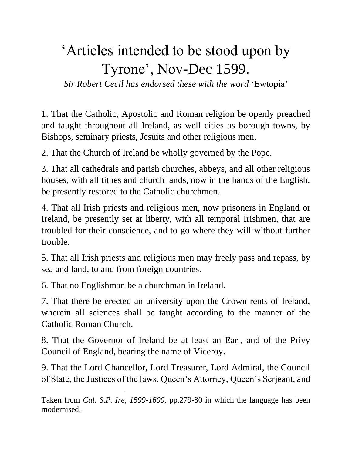## 'Articles intended to be stood upon by Tyrone', Nov-Dec 1599.

*Sir Robert Cecil has endorsed these with the word* 'Ewtopia'

1. That the Catholic, Apostolic and Roman religion be openly preached and taught throughout all Ireland, as well cities as borough towns, by Bishops, seminary priests, Jesuits and other religious men.

2. That the Church of Ireland be wholly governed by the Pope.

3. That all cathedrals and parish churches, abbeys, and all other religious houses, with all tithes and church lands, now in the hands of the English, be presently restored to the Catholic churchmen.

4. That all Irish priests and religious men, now prisoners in England or Ireland, be presently set at liberty, with all temporal Irishmen, that are troubled for their conscience, and to go where they will without further trouble.

5. That all Irish priests and religious men may freely pass and repass, by sea and land, to and from foreign countries.

6. That no Englishman be a churchman in Ireland.

7. That there be erected an university upon the Crown rents of Ireland, wherein all sciences shall be taught according to the manner of the Catholic Roman Church.

8. That the Governor of Ireland be at least an Earl, and of the Privy Council of England, bearing the name of Viceroy.

9. That the Lord Chancellor, Lord Treasurer, Lord Admiral, the Council of State, the Justices of the laws, Queen's Attorney, Queen's Serjeant, and

Taken from *Cal. S.P. Ire, 1599-1600*, pp.279-80 in which the language has been modernised.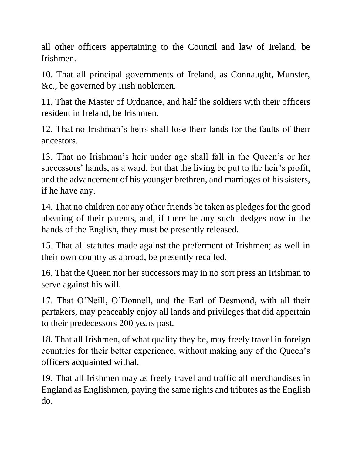all other officers appertaining to the Council and law of Ireland, be Irishmen.

10. That all principal governments of Ireland, as Connaught, Munster, &c., be governed by Irish noblemen.

11. That the Master of Ordnance, and half the soldiers with their officers resident in Ireland, be Irishmen.

12. That no Irishman's heirs shall lose their lands for the faults of their ancestors.

13. That no Irishman's heir under age shall fall in the Queen's or her successors' hands, as a ward, but that the living be put to the heir's profit, and the advancement of his younger brethren, and marriages of his sisters, if he have any.

14. That no children nor any other friends be taken as pledges for the good abearing of their parents, and, if there be any such pledges now in the hands of the English, they must be presently released.

15. That all statutes made against the preferment of Irishmen; as well in their own country as abroad, be presently recalled.

16. That the Queen nor her successors may in no sort press an Irishman to serve against his will.

17. That O'Neill, O'Donnell, and the Earl of Desmond, with all their partakers, may peaceably enjoy all lands and privileges that did appertain to their predecessors 200 years past.

18. That all Irishmen, of what quality they be, may freely travel in foreign countries for their better experience, without making any of the Queen's officers acquainted withal.

19. That all Irishmen may as freely travel and traffic all merchandises in England as Englishmen, paying the same rights and tributes as the English do.